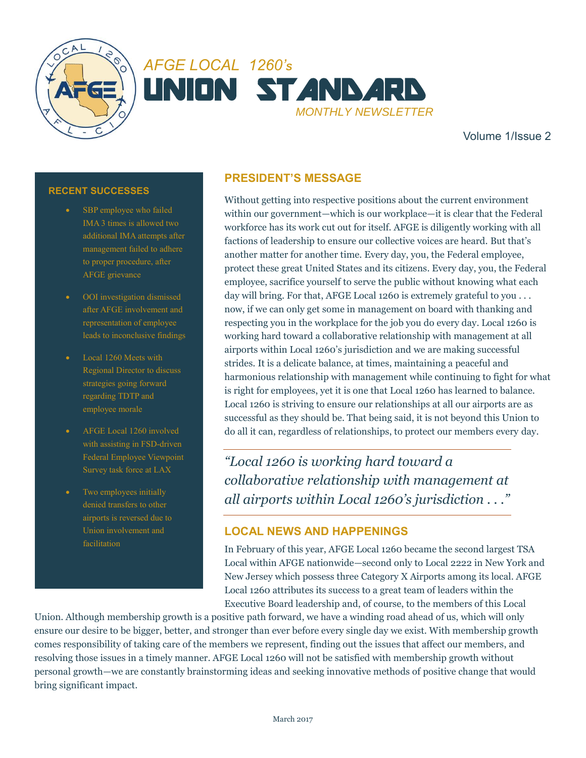



Volume 1/Issue 2

#### **RECENT SUCCESSES**

- SBP employee who failed IMA 3 times is allowed two additional IMA attempts after management failed to adhere to proper procedure, after AFGE grievance
- OOI investigation dismissed after AFGE involvement and representation of employee leads to inconclusive findings
- Local 1260 Meets with Regional Director to discuss strategies going forward regarding TDTP and employee morale
- AFGE Local 1260 involved with assisting in FSD-driven Federal Employee Viewpoint Survey task force at LAX
- Two employees initially denied transfers to other airports is reversed due to Union involvement and

# **PRESIDENT'S MESSAGE**

Without getting into respective positions about the current environment within our government—which is our workplace—it is clear that the Federal workforce has its work cut out for itself. AFGE is diligently working with all factions of leadership to ensure our collective voices are heard. But that's another matter for another time. Every day, you, the Federal employee, protect these great United States and its citizens. Every day, you, the Federal employee, sacrifice yourself to serve the public without knowing what each day will bring. For that, AFGE Local 1260 is extremely grateful to you ... now, if we can only get some in management on board with thanking and respecting you in the workplace for the job you do every day. Local 1260 is working hard toward a collaborative relationship with management at all airports within Local 1260's jurisdiction and we are making successful strides. It is a delicate balance, at times, maintaining a peaceful and harmonious relationship with management while continuing to fight for what is right for employees, yet it is one that Local 1260 has learned to balance. Local 1260 is striving to ensure our relationships at all our airports are as successful as they should be. That being said, it is not beyond this Union to do all it can, regardless of relationships, to protect our members every day.

*"Local 1260 is working hard toward a collaborative relationship with management at all airports within Local 1260's jurisdiction . . ."*

## **LOCAL NEWS AND HAPPENINGS**

In February of this year, AFGE Local 1260 became the second largest TSA Local within AFGE nationwide—second only to Local 2222 in New York and New Jersey which possess three Category X Airports among its local. AFGE Local 1260 attributes its success to a great team of leaders within the Executive Board leadership and, of course, to the members of this Local

Union. Although membership growth is a positive path forward, we have a winding road ahead of us, which will only ensure our desire to be bigger, better, and stronger than ever before every single day we exist. With membership growth comes responsibility of taking care of the members we represent, finding out the issues that affect our members, and resolving those issues in a timely manner. AFGE Local 1260 will not be satisfied with membership growth without personal growth—we are constantly brainstorming ideas and seeking innovative methods of positive change that would bring significant impact.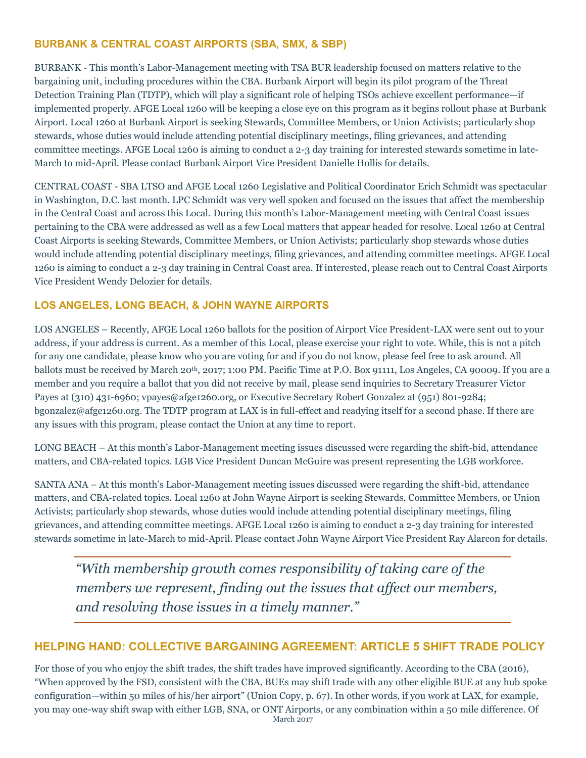## **BURBANK & CENTRAL COAST AIRPORTS (SBA, SMX, & SBP)**

BURBANK - This month's Labor-Management meeting with TSA BUR leadership focused on matters relative to the bargaining unit, including procedures within the CBA. Burbank Airport will begin its pilot program of the Threat Detection Training Plan (TDTP), which will play a significant role of helping TSOs achieve excellent performance—if implemented properly. AFGE Local 1260 will be keeping a close eye on this program as it begins rollout phase at Burbank Airport. Local 1260 at Burbank Airport is seeking Stewards, Committee Members, or Union Activists; particularly shop stewards, whose duties would include attending potential disciplinary meetings, filing grievances, and attending committee meetings. AFGE Local 1260 is aiming to conduct a 2-3 day training for interested stewards sometime in late-March to mid-April. Please contact Burbank Airport Vice President Danielle Hollis for details.

CENTRAL COAST - SBA LTSO and AFGE Local 1260 Legislative and Political Coordinator Erich Schmidt was spectacular in Washington, D.C. last month. LPC Schmidt was very well spoken and focused on the issues that affect the membership in the Central Coast and across this Local. During this month's Labor-Management meeting with Central Coast issues pertaining to the CBA were addressed as well as a few Local matters that appear headed for resolve. Local 1260 at Central Coast Airports is seeking Stewards, Committee Members, or Union Activists; particularly shop stewards whose duties would include attending potential disciplinary meetings, filing grievances, and attending committee meetings. AFGE Local 1260 is aiming to conduct a 2-3 day training in Central Coast area. If interested, please reach out to Central Coast Airports Vice President Wendy Delozier for details.

## **LOS ANGELES, LONG BEACH, & JOHN WAYNE AIRPORTS**

LOS ANGELES – Recently, AFGE Local 1260 ballots for the position of Airport Vice President-LAX were sent out to your address, if your address is current. As a member of this Local, please exercise your right to vote. While, this is not a pitch for any one candidate, please know who you are voting for and if you do not know, please feel free to ask around. All ballots must be received by March 20<sup>th</sup>, 2017; 1:00 PM. Pacific Time at P.O. Box 91111, Los Angeles, CA 90009. If you are a member and you require a ballot that you did not receive by mail, please send inquiries to Secretary Treasurer Victor Payes at (310) 431-6960; vpayes@afge1260.org, or Executive Secretary Robert Gonzalez at (951) 801-9284; bgonzalez@afge1260.org. The TDTP program at LAX is in full-effect and readying itself for a second phase. If there are any issues with this program, please contact the Union at any time to report.

LONG BEACH – At this month's Labor-Management meeting issues discussed were regarding the shift-bid, attendance matters, and CBA-related topics. LGB Vice President Duncan McGuire was present representing the LGB workforce.

SANTA ANA – At this month's Labor-Management meeting issues discussed were regarding the shift-bid, attendance matters, and CBA-related topics. Local 1260 at John Wayne Airport is seeking Stewards, Committee Members, or Union Activists; particularly shop stewards, whose duties would include attending potential disciplinary meetings, filing grievances, and attending committee meetings. AFGE Local 1260 is aiming to conduct a 2-3 day training for interested stewards sometime in late-March to mid-April. Please contact John Wayne Airport Vice President Ray Alarcon for details.

*"With membership growth comes responsibility of taking care of the members we represent, finding out the issues that affect our members, and resolving those issues in a timely manner."*

## **HELPING HAND: COLLECTIVE BARGAINING AGREEMENT: ARTICLE 5 SHIFT TRADE POLICY**

March 2017 For those of you who enjoy the shift trades, the shift trades have improved significantly. According to the CBA (2016), "When approved by the FSD, consistent with the CBA, BUEs may shift trade with any other eligible BUE at any hub spoke configuration—within 50 miles of his/her airport" (Union Copy, p. 67). In other words, if you work at LAX, for example, you may one-way shift swap with either LGB, SNA, or ONT Airports, or any combination within a 50 mile difference. Of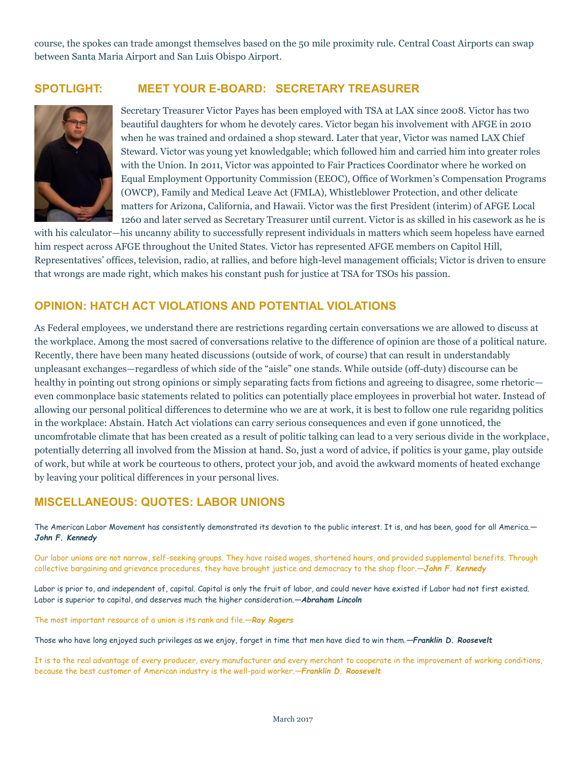course, the spokes can trade amongst themselves based on the 50 mile proximity rule. Central Coast Airports can swap between Santa Maria Airport and San Luis Obispo Airport.

# **SPOTLIGHT: MEET YOUR E-BOARD: SECRETARY TREASURER**



Secretary Treasurer Victor Payes has been employed with TSA at LAX since 2008. Victor has two beautiful daughters for whom he devotely cares. Victor began his involvement with AFGE in 2010 when he was trained and ordained a shop steward. Later that year, Victor was named LAX Chief Steward. Victor was young yet knowledgable; which followed him and carried him into greater roles with the Union. In 2011, Victor was appointed to Fair Practices Coordinator where he worked on Equal Employment Opportunity Commission (EEOC), Office of Workmen's Compensation Programs (OWCP), Family and Medical Leave Act (FMLA), Whistleblower Protection, and other delicate matters for Arizona, California, and Hawaii. Victor was the first President (interim) of AFGE Local 1260 and later served as Secretary Treasurer until current. Victor is as skilled in his casework as he is

with his calculator—his uncanny ability to successfully represent individuals in matters which seem hopeless have earned him respect across AFGE throughout the United States. Victor has represented AFGE members on Capitol Hill, Representatives' offices, television, radio, at rallies, and before high-level management officials; Victor is driven to ensure that wrongs are made right, which makes his constant push for justice at TSA for TSOs his passion.

#### **OPINION: HATCH ACT VIOLATIONS AND POTENTIAL VIOLATIONS**

As Federal employees, we understand there are restrictions regarding certain conversations we are allowed to discuss at the workplace. Among the most sacred of conversations relative to the difference of opinion are those of a political nature. Recently, there have been many heated discussions (outside of work, of course) that can result in understandably unpleasant exchanges—regardless of which side of the "aisle" one stands. While outside (off-duty) discourse can be healthy in pointing out strong opinions or simply separating facts from fictions and agreeing to disagree, some rhetoric even commonplace basic statements related to politics can potentially place employees in proverbial hot water. Instead of allowing our personal political differences to determine who we are at work, it is best to follow one rule regaridng politics in the workplace: Abstain. Hatch Act violations can carry serious consequences and even if gone unnoticed, the uncomfrotable climate that has been created as a result of politic talking can lead to a very serious divide in the workplace, potentially deterring all involved from the Mission at hand. So, just a word of advice, if politics is your game, play outside of work, but while at work be courteous to others, protect your job, and avoid the awkward moments of heated exchange by leaving your political differences in your personal lives.

## **MISCELLANEOUS: QUOTES: LABOR UNIONS**

The American Labor Movement has consistently demonstrated its devotion to the public interest. It is, and has been, good for all America.*— John F. Kennedy*

Our labor unions are not narrow, self-seeking groups. They have raised wages, shortened hours, and provided supplemental benefits. Through collective bargaining and grievance procedures, they have brought justice and democracy to the shop floor.*—John F. Kennedy*

Labor is prior to, and independent of, capital. Capital is only the fruit of labor, and could never have existed if Labor had not first existed. Labor is superior to capital, and deserves much the higher consideration.*—Abraham Lincoln*

The most important resource of a union is its rank and file.*—Ray Rogers*

Those who have long enjoyed such privileges as we enjoy, forget in time that men have died to win them.*—Franklin D. Roosevelt*

It is to the real advantage of every producer, every manufacturer and every merchant to cooperate in the improvement of working conditions, because the best customer of American industry is the well-paid worker.*—Franklin D. Roosevelt*